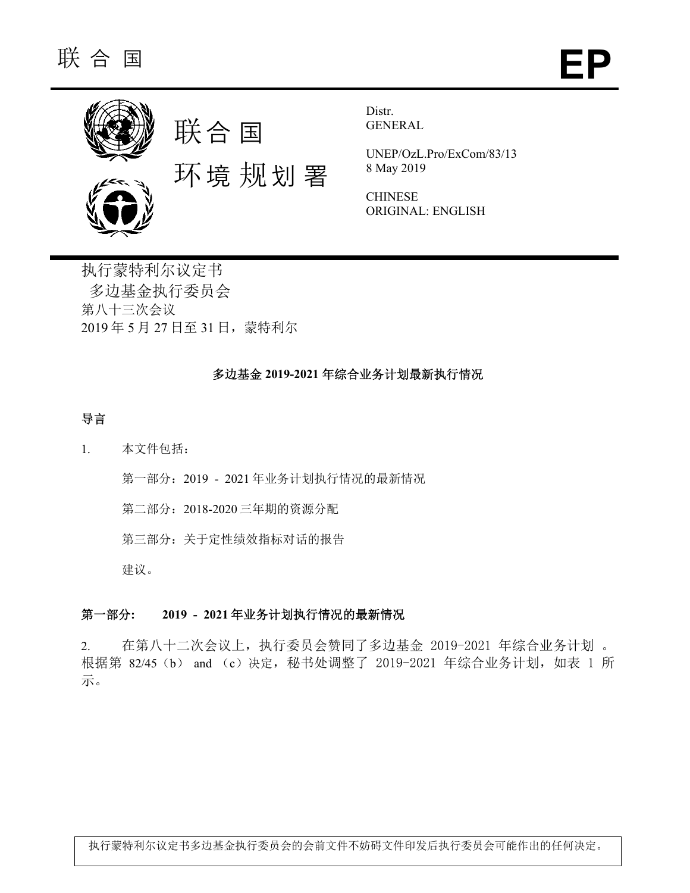

Distr. GENERAL

UNEP/OzL.Pro/ExCom/83/13 8 May 2019

**CHINESE** ORIGINAL: ENGLISH

执行蒙特利尔议定书 多边基金执行委员会 第八十三次会议 2019 年 5 月 27 日至 31 日,蒙特利尔

# 多边基金 **2019-2021** 年综合业务计划最新执行情况

## 导言

1. 本文件包括:

第一部分:2019 - 2021 年业务计划执行情况的最新情况

第二部分:2018-2020 三年期的资源分配

第三部分:关于定性绩效指标对话的报告

建议。

## 第一部分**: 2019 - 2021** 年业务计划执行情况的最新情况

2. 在第八十二次会议上,执行委员会赞同了多边基金 2019-2021 年综合业务计划 。 根据第 82/45 (b) and (c)决定, 秘书处调整了 2019-2021 年综合业务计划, 如表 1 所 示。

执行蒙特利尔议定书多边基金执行委员会的会前文件不妨碍文件印发后执行委员会可能作出的任何决定。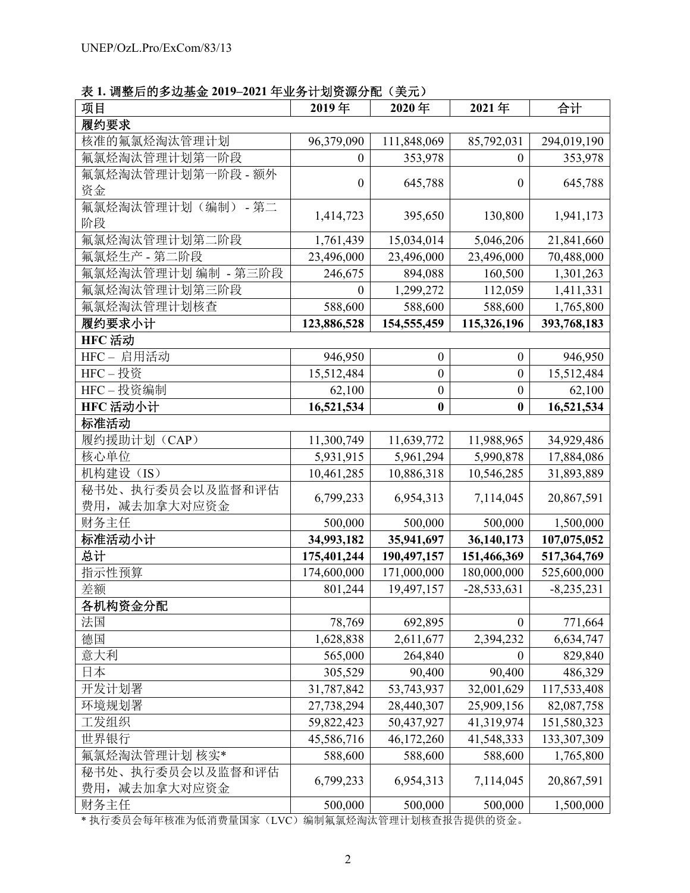表 **1.** 调整后的多边基金 **2019–2021** 年业务计划资源分配(美元)

| 项目                  | 2019年            | 2020年            | 2021年            | 合计           |
|---------------------|------------------|------------------|------------------|--------------|
| 履约要求                |                  |                  |                  |              |
| 核准的氟氯烃淘汰管理计划        | 96,379,090       | 111,848,069      | 85,792,031       | 294,019,190  |
| 氟氯烃淘汰管理计划第一<br>一阶段  | $\theta$         | 353,978          | $\mathbf{0}$     | 353,978      |
| 氟氯烃淘汰管理计划第一阶段 - 额外  | $\boldsymbol{0}$ | 645,788          | $\boldsymbol{0}$ | 645,788      |
| 资金                  |                  |                  |                  |              |
| 氟氯烃淘汰管理计划(编制)-第二    | 1,414,723        | 395,650          | 130,800          | 1,941,173    |
| 阶段                  |                  |                  |                  |              |
| 氟氯烃淘汰管理计划第二阶段       | 1,761,439        | 15,034,014       | 5,046,206        | 21,841,660   |
| 氟氯烃生产 - 第二阶段        | 23,496,000       | 23,496,000       | 23,496,000       | 70,488,000   |
| 氟氯烃淘汰管理计划 编制 - 第三阶段 | 246,675          | 894,088          | 160,500          | 1,301,263    |
| 氟氯烃淘汰管理计划第三阶段       | $\theta$         | 1,299,272        | 112,059          | 1,411,331    |
| 氟氯烃淘汰管理计划核查         | 588,600          | 588,600          | 588,600          | 1,765,800    |
| 履约要求小计              | 123,886,528      | 154,555,459      | 115,326,196      | 393,768,183  |
| HFC 活动              |                  |                  |                  |              |
| HFC-启用活动            | 946,950          | $\boldsymbol{0}$ | $\boldsymbol{0}$ | 946,950      |
| HFC-投资              | 15,512,484       | $\boldsymbol{0}$ | $\boldsymbol{0}$ | 15,512,484   |
| HFC-投资编制            | 62,100           | $\boldsymbol{0}$ | $\boldsymbol{0}$ | 62,100       |
| HFC 活动小计            | 16,521,534       | $\bf{0}$         | $\bf{0}$         | 16,521,534   |
| 标准活动                |                  |                  |                  |              |
| 履约援助计划(CAP)         | 11,300,749       | 11,639,772       | 11,988,965       | 34,929,486   |
| 核心单位                | 5,931,915        | 5,961,294        | 5,990,878        | 17,884,086   |
| 机构建设(IS)            | 10,461,285       | 10,886,318       | 10,546,285       | 31,893,889   |
| 秘书处、执行委员会以及监督和评估    | 6,799,233        | 6,954,313        | 7,114,045        | 20,867,591   |
| 费用, 减去加拿大对应资金       |                  |                  |                  |              |
| 财务主任                | 500,000          | 500,000          | 500,000          | 1,500,000    |
| 标准活动小计              | 34,993,182       | 35,941,697       | 36,140,173       | 107,075,052  |
| 总计                  | 175,401,244      | 190,497,157      | 151,466,369      | 517,364,769  |
| 指示性预算               | 174,600,000      | 171,000,000      | 180,000,000      | 525,600,000  |
| 差额                  | 801,244          | 19,497,157       | $-28,533,631$    | $-8,235,231$ |
| 各机构资金分配             |                  |                  |                  |              |
| 法国                  | 78,769           | 692,895          | $\boldsymbol{0}$ | 771,664      |
| 德国                  | 1,628,838        | 2,611,677        | 2,394,232        | 6,634,747    |
| 意大利                 | 565,000          | 264,840          | $\theta$         | 829,840      |
| 日本                  | 305,529          | 90,400           | 90,400           | 486,329      |
| 开发计划署               | 31,787,842       | 53,743,937       | 32,001,629       | 117,533,408  |
| 环境规划署               | 27,738,294       | 28,440,307       | 25,909,156       | 82,087,758   |
| 工发组织                | 59,822,423       | 50,437,927       | 41,319,974       | 151,580,323  |
| 世界银行                | 45,586,716       | 46,172,260       | 41,548,333       | 133,307,309  |
| 氟氯烃淘汰管理计划 核实*       | 588,600          | 588,600          | 588,600          | 1,765,800    |
| 秘书处、执行委员会以及监督和评估    | 6,799,233        | 6,954,313        | 7,114,045        | 20,867,591   |
| 费用,减去加拿大对应资金        |                  |                  |                  |              |
| 财务主任                | 500,000          | 500,000          | 500,000          | 1,500,000    |

\* 执行委员会每年核准为低消费量国家(LVC)编制氟氯烃淘汰管理计划核查报告提供的资金。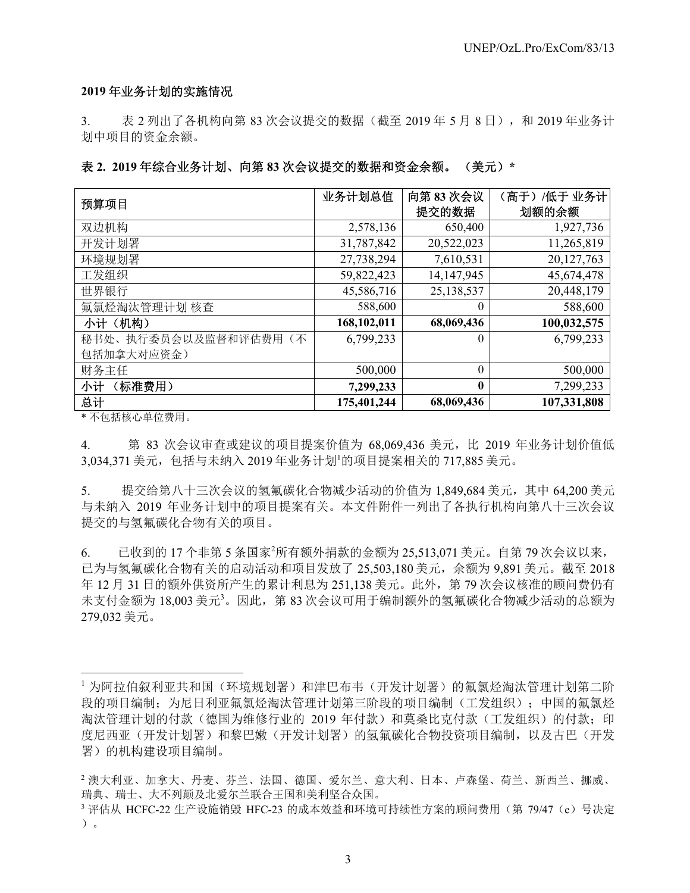#### **2019** 年业务计划的实施情况

3. 表 2 列出了各机构向第 83 次会议提交的数据(截至 2019 年 5 月 8 日), 和 2019 年业务计 划中项目的资金余额。

#### 表 **2. 2019** 年综合业务计划、向第 **83** 次会议提交的数据和资金余额。 (美元)**\***

| 预算项目                 | 业务计划总值      | 向第83次会议      | (高于) /低于 业务计 |
|----------------------|-------------|--------------|--------------|
|                      |             | 提交的数据        | 划额的余额        |
| 双边机构                 | 2,578,136   | 650,400      | 1,927,736    |
| 开发计划署                | 31,787,842  | 20,522,023   | 11,265,819   |
| 环境规划署                | 27,738,294  | 7,610,531    | 20,127,763   |
| 工发组织                 | 59,822,423  | 14,147,945   | 45,674,478   |
| 世界银行                 | 45,586,716  | 25,138,537   | 20,448,179   |
| 氟氯烃淘汰管理计划 核查         | 588,600     | $\theta$     | 588,600      |
| 小计(机构)               | 168,102,011 | 68,069,436   | 100,032,575  |
| 秘书处、执行委员会以及监督和评估费用(不 | 6,799,233   | $\theta$     | 6,799,233    |
| 包括加拿大对应资金)           |             |              |              |
| 财务主任                 | 500,000     | $\theta$     | 500,000      |
| (标准费用)<br>小计         | 7,299,233   | $\mathbf{0}$ | 7,299,233    |
| 总计                   | 175,401,244 | 68,069,436   | 107,331,808  |

\* 不包括核心单位费用。

l

4. 第 83 次会议审查或建议的项目提案价值为 68,069,436 美元,比 2019 年业务计划价值低 3,034,371 美元, 包括与未纳入 2019 年业务计划 的项目提案相关的 717,885 美元。

5. 提交给第八十三次会议的氢氟碳化合物减少活动的价值为 1,849,684 美元,其中 64,200 美元 与未纳入 2019 年业务计划中的项目提案有关。本文件附件一列出了各执行机构向第八十三次会议 提交的与氢氟碳化合物有关的项目。

6. 已收到的 17 个非第 5 条国家<sup>2</sup> 所有额外捐款的金额为 25,513,071 美元。自第 79 次会议以来, 已为与氢氟碳化合物有关的启动活动和项目发放了 25,503,180 美元,余额为 9,891 美元。截至 2018 年 12 月 31 日的额外供资所产生的累计利息为 251,138 美元。此外,第 79 次会议核准的顾问费仍有 未支付金额为 18,003 美元3。因此, 第 83 次会议可用于编制额外的氢氟碳化合物减少活动的总额为 279,032 美元。

<sup>1</sup> 为阿拉伯叙利亚共和国(环境规划署)和津巴布韦(开发计划署)的氟氯烃淘汰管理计划第二阶 段的项目编制;为尼日利亚氟氯烃淘汰管理计划第三阶段的项目编制(工发组织);中国的氟氯烃 淘汰管理计划的付款(德国为维修行业的 2019 年付款)和莫桑比克付款(工发组织)的付款;印 度尼西亚(开发计划署)的氢氟碳化合物投资项目编制,以及古巴(开发 署)的机构建设项目编制。

<sup>2</sup> 澳大利亚、加拿大、丹麦、芬兰、法国、德国、爱尔兰、意大利、日本、卢森堡、荷兰、新西兰、挪威、 瑞典、瑞士、大不列颠及北爱尔兰联合王国和美利坚合众国。<br>3 评估从 HCFC-22 生产设施销毁 HFC-23 的成本效益和环境可持续性方案的顾问费用(第 79/47 (e)号决定

<sup>)。</sup>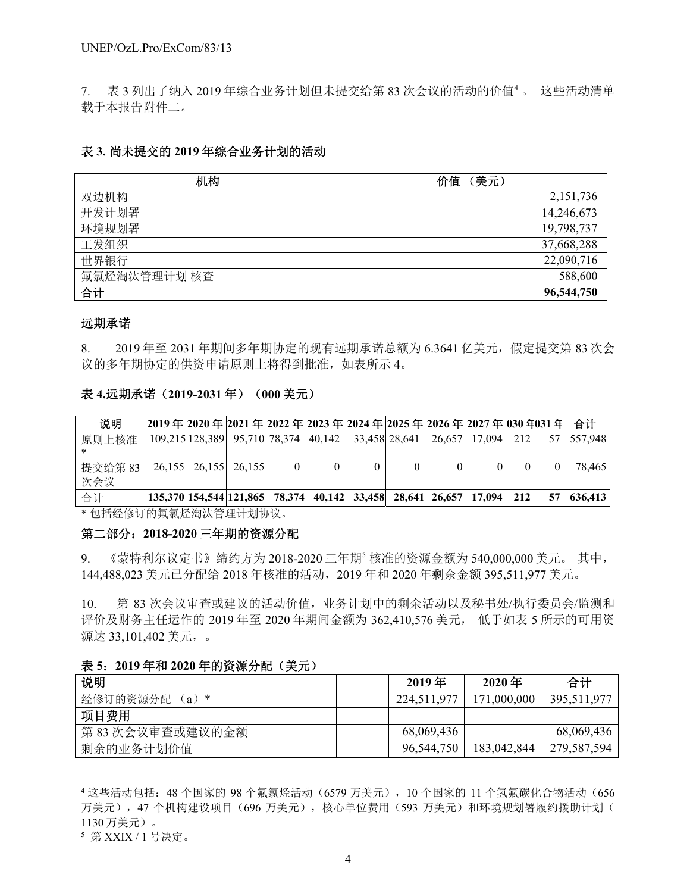7. 表 3 列出了纳入 2019 年综合业务计划但未提交给第 83 次会议的活动的价值<sup>4</sup> 。 这些活动清单 载于本报告附件二。

#### 表 **3.** 尚未提交的 **2019** 年综合业务计划的活动

| 机构          | 价值<br>(美元) |
|-------------|------------|
| 双边机构        | 2,151,736  |
| 开发计划署       | 14,246,673 |
| 环境规划署       | 19,798,737 |
| 工发组织        | 37,668,288 |
| 世界银行        | 22,090,716 |
| 氟氯烃淘汰管理计划核查 | 588,600    |
| 合计          | 96,544,750 |

#### 远期承诺

8. 2019 年至 2031 年期间多年期协定的现有远期承诺总额为 6.3641 亿美元,假定提交第 83 次会 议的多年期协定的供资申请原则上将得到批准,如表所示 4。

#### 表 **4.**远期承诺(**2019-2031** 年)(**000** 美元)

| 说明            |  |                      |  |  | 2019年2020年2021年2022年2023年2024年2025年2026年2027年030年031年                                             |     |      | 合计      |
|---------------|--|----------------------|--|--|---------------------------------------------------------------------------------------------------|-----|------|---------|
| 原则上核准         |  |                      |  |  | 109,215 128,389 95,710 78,374 40,142 33,458 28,641 26,657 17,094                                  | 212 | 57 I | 557.948 |
| 提交给第83<br>次会议 |  | 26,155 26,155 26,155 |  |  |                                                                                                   |     |      | 78.465  |
| 合计            |  |                      |  |  | $\left  135,370 \right  154,544 \left  121,865 \right $ 78,374 40,142 33,458 28,641 26,657 17,094 | 212 | 571  | 636,413 |

\* 包括经修订的氟氯烃淘汰管理计划协议。

#### 第二部分:**2018-2020** 三年期的资源分配

9. 《蒙特利尔议定书》缔约方为 2018-2020 三年期<sup>5</sup> 核准的资源金额为 540,000,000 美元。 其中, 144,488,023 美元已分配给 2018 年核准的活动,2019 年和 2020 年剩余金额 395,511,977 美元。

10. 第 83 次会议审查或建议的活动价值,业务计划中的剩余活动以及秘书处/执行委员会/监测和 评价及财务主任运作的 2019 年至 2020 年期间金额为 362,410,576 美元, 低于如表 5 所示的可用资 源达 33,101,402 美元,。

#### 表 **5**:**2019** 年和 **2020** 年的资源分配(美元)

| 说明                  | $2019$ 年    | $2020$ 年    | 合计          |
|---------------------|-------------|-------------|-------------|
| 经修订的资源分配<br>$(a)$ * | 224,511,977 | 171,000,000 | 395,511,977 |
| 项目费用                |             |             |             |
| 第83次会议审查或建议的金额      | 68,069,436  |             | 68,069,436  |
| 剩余的业务计划价值           | 96,544,750  | 183,042,844 | 279,587,594 |

<sup>4</sup> 这些活动包括: 48 个国家的 98 个氟氯烃活动(6579 万美元), 10 个国家的 11 个氢氟碳化合物活动(656 万美元),47个机构建设项目(696万美元),核心单位费用(593万美元)和环境规划署履约援助计划( 1130 万美元)。

l

<sup>5</sup> 第 XXIX / 1 号决定。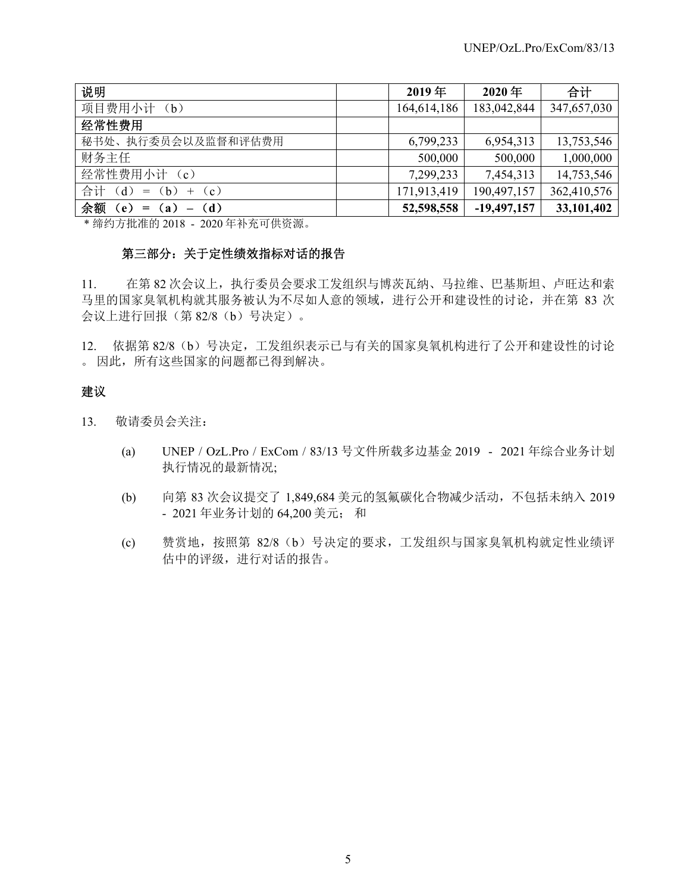| 说明                      | $2019$ 年    | $2020$ 年      | 合计          |
|-------------------------|-------------|---------------|-------------|
| 项目费用小计<br>(b)           | 164,614,186 | 183,042,844   | 347,657,030 |
| 经常性费用                   |             |               |             |
| 秘书处、执行委员会以及监督和评估费用      | 6,799,233   | 6,954,313     | 13,753,546  |
| 财务主任                    | 500,000     | 500,000       | 1,000,000   |
| 经常性费用小计 (c)             | 7,299,233   | 7,454,313     | 14,753,546  |
| 合计 (d) = (b) + (c)      | 171,913,419 | 190,497,157   | 362,410,576 |
| 余额<br>$(e) = (a) - (d)$ | 52,598,558  | $-19,497,157$ | 33,101,402  |

\* 缔约方批准的 2018 - 2020 年补充可供资源。

## 第三部分:关于定性绩效指标对话的报告

11. 在第 82 次会议上,执行委员会要求工发组织与博茨瓦纳、马拉维、巴基斯坦、卢旺达和索 马里的国家臭氧机构就其服务被认为不尽如人意的领域,进行公开和建设性的讨论,并在第 83 次 会议上进行回报(第 82/8(b)号决定)。

12. 依据第 82/8 (b)号决定,工发组织表示已与有关的国家臭氧机构进行了公开和建设性的讨论 。 因此,所有这些国家的问题都已得到解决。

# 建议

- 13. 敬请委员会关注:
	- (a) UNEP / OzL.Pro / ExCom / 83/13 号文件所载多边基金 2019 2021 年综合业务计划 执行情况的最新情况;
	- (b) 向第 83 次会议提交了 1,849,684 美元的氢氟碳化合物减少活动,不包括未纳入 2019 - 2021 年业务计划的 64,200 美元; 和
	- (c) 赞赏地,按照第 82/8(b)号决定的要求,工发组织与国家臭氧机构就定性业绩评 估中的评级,进行对话的报告。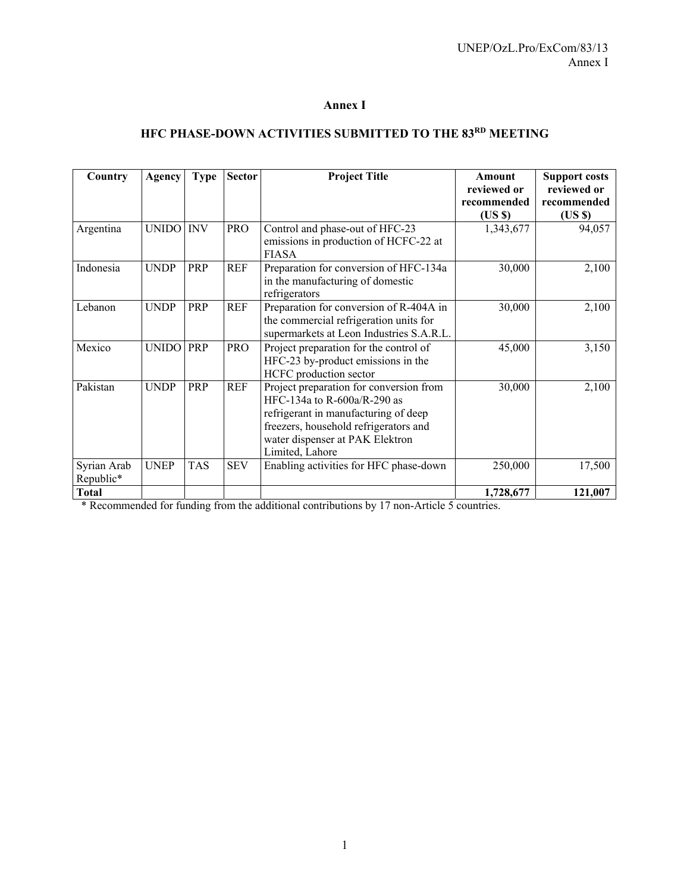## **Annex I**

# **HFC PHASE-DOWN ACTIVITIES SUBMITTED TO THE 83RD MEETING**

| Country                  | Agency       | <b>Type</b> | <b>Sector</b> | <b>Project Title</b>                                                                                                                                                                                          | Amount<br>reviewed or | <b>Support costs</b><br>reviewed or |
|--------------------------|--------------|-------------|---------------|---------------------------------------------------------------------------------------------------------------------------------------------------------------------------------------------------------------|-----------------------|-------------------------------------|
|                          |              |             |               |                                                                                                                                                                                                               | recommended<br>(USS)  | recommended<br>(USS)                |
| Argentina                | UNIDO INV    |             | <b>PRO</b>    | Control and phase-out of HFC-23<br>emissions in production of HCFC-22 at<br><b>FIASA</b>                                                                                                                      | 1,343,677             | 94,057                              |
| Indonesia                | <b>UNDP</b>  | PRP         | REF           | Preparation for conversion of HFC-134a<br>in the manufacturing of domestic<br>refrigerators                                                                                                                   | 30,000                | 2,100                               |
| Lebanon                  | <b>UNDP</b>  | PRP         | <b>REF</b>    | Preparation for conversion of R-404A in<br>the commercial refrigeration units for<br>supermarkets at Leon Industries S.A.R.L.                                                                                 | 30,000                | 2,100                               |
| Mexico                   | <b>UNIDO</b> | PRP         | <b>PRO</b>    | Project preparation for the control of<br>HFC-23 by-product emissions in the<br>HCFC production sector                                                                                                        | 45,000                | 3,150                               |
| Pakistan                 | <b>UNDP</b>  | PRP         | <b>REF</b>    | Project preparation for conversion from<br>HFC-134a to R-600a/R-290 as<br>refrigerant in manufacturing of deep<br>freezers, household refrigerators and<br>water dispenser at PAK Elektron<br>Limited, Lahore | 30,000                | 2,100                               |
| Syrian Arab<br>Republic* | <b>UNEP</b>  | <b>TAS</b>  | <b>SEV</b>    | Enabling activities for HFC phase-down                                                                                                                                                                        | 250,000               | 17,500                              |
| <b>Total</b>             |              |             |               |                                                                                                                                                                                                               | 1,728,677             | 121,007                             |

\* Recommended for funding from the additional contributions by 17 non-Article 5 countries.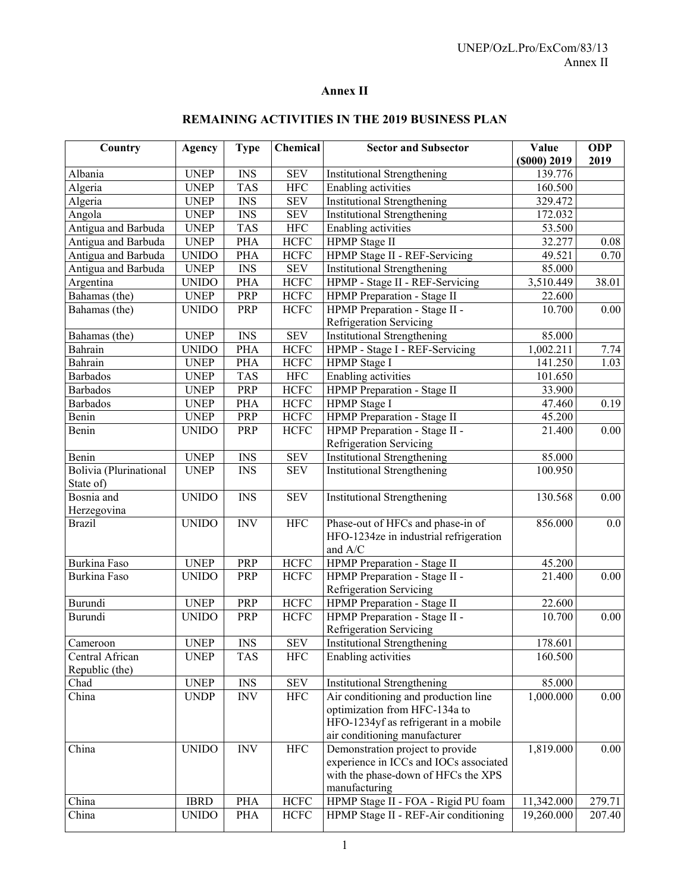# **Annex II**

| Country                | Agency       | <b>Type</b>               | Chemical    | <b>Sector and Subsector</b>                                                   | Value              | <b>ODP</b>       |
|------------------------|--------------|---------------------------|-------------|-------------------------------------------------------------------------------|--------------------|------------------|
|                        |              |                           |             |                                                                               | $($ \$000 $)$ 2019 | 2019             |
| Albania                | <b>UNEP</b>  | <b>INS</b>                | <b>SEV</b>  | <b>Institutional Strengthening</b>                                            | 139.776            |                  |
| Algeria                | <b>UNEP</b>  | <b>TAS</b>                | <b>HFC</b>  | Enabling activities                                                           | 160.500            |                  |
| Algeria                | <b>UNEP</b>  | <b>INS</b>                | <b>SEV</b>  | <b>Institutional Strengthening</b>                                            | 329.472            |                  |
| Angola                 | <b>UNEP</b>  | <b>INS</b>                | <b>SEV</b>  | <b>Institutional Strengthening</b>                                            | 172.032            |                  |
| Antigua and Barbuda    | <b>UNEP</b>  | <b>TAS</b>                | <b>HFC</b>  | Enabling activities                                                           | 53.500             |                  |
| Antigua and Barbuda    | <b>UNEP</b>  | PHA                       | <b>HCFC</b> | <b>HPMP</b> Stage II                                                          | 32.277             | 0.08             |
| Antigua and Barbuda    | <b>UNIDO</b> | PHA                       | <b>HCFC</b> | HPMP Stage II - REF-Servicing                                                 | 49.521             | 0.70             |
| Antigua and Barbuda    | <b>UNEP</b>  | <b>INS</b>                | <b>SEV</b>  | <b>Institutional Strengthening</b>                                            | 85.000             |                  |
| Argentina              | <b>UNIDO</b> | PHA                       | <b>HCFC</b> | HPMP - Stage II - REF-Servicing                                               | 3,510.449          | 38.01            |
| Bahamas (the)          | <b>UNEP</b>  | PRP                       | <b>HCFC</b> | HPMP Preparation - Stage II                                                   | 22.600             |                  |
| Bahamas (the)          | <b>UNIDO</b> | PRP                       | <b>HCFC</b> | HPMP Preparation - Stage II -                                                 | 10.700             | 0.00             |
|                        |              |                           |             | Refrigeration Servicing                                                       |                    |                  |
| Bahamas (the)          | <b>UNEP</b>  | <b>INS</b>                | <b>SEV</b>  | <b>Institutional Strengthening</b>                                            | 85.000             |                  |
| Bahrain                | <b>UNIDO</b> | PHA                       | <b>HCFC</b> | HPMP - Stage I - REF-Servicing                                                | 1,002.211          | 7.74             |
| Bahrain                | <b>UNEP</b>  | PHA                       | <b>HCFC</b> | HPMP Stage I                                                                  | 141.250            | 1.03             |
| <b>Barbados</b>        | <b>UNEP</b>  | <b>TAS</b>                | HFC         | <b>Enabling</b> activities                                                    | 101.650            |                  |
| <b>Barbados</b>        | <b>UNEP</b>  | PRP                       | <b>HCFC</b> | HPMP Preparation - Stage II                                                   | 33.900             |                  |
| Barbados               | <b>UNEP</b>  | PHA                       | <b>HCFC</b> | HPMP Stage I                                                                  | 47.460             | 0.19             |
| Benin                  | <b>UNEP</b>  | PRP                       | <b>HCFC</b> | HPMP Preparation - Stage II                                                   | 45.200             |                  |
| Benin                  | <b>UNIDO</b> | PRP                       | <b>HCFC</b> | HPMP Preparation - Stage II -                                                 | 21.400             | 0.00             |
|                        |              |                           |             | Refrigeration Servicing                                                       |                    |                  |
| Benin                  | <b>UNEP</b>  | <b>INS</b>                | <b>SEV</b>  | <b>Institutional Strengthening</b>                                            | 85.000             |                  |
| Bolivia (Plurinational | <b>UNEP</b>  | <b>INS</b>                | <b>SEV</b>  | <b>Institutional Strengthening</b>                                            | 100.950            |                  |
| State of)              |              |                           |             |                                                                               |                    |                  |
| Bosnia and             | <b>UNIDO</b> | <b>INS</b>                | <b>SEV</b>  | <b>Institutional Strengthening</b>                                            | 130.568            | 0.00             |
| Herzegovina            |              |                           |             |                                                                               |                    |                  |
| <b>Brazil</b>          | <b>UNIDO</b> | <b>INV</b>                | <b>HFC</b>  | Phase-out of HFCs and phase-in of                                             | 856.000            | 0.0              |
|                        |              |                           |             | HFO-1234ze in industrial refrigeration                                        |                    |                  |
|                        |              |                           |             | and A/C                                                                       |                    |                  |
| Burkina Faso           | <b>UNEP</b>  | PRP                       | <b>HCFC</b> | HPMP Preparation - Stage II                                                   | 45.200             |                  |
| Burkina Faso           | <b>UNIDO</b> | PRP                       | <b>HCFC</b> | HPMP Preparation - Stage II -                                                 | 21.400             | 0.00             |
|                        |              |                           |             | Refrigeration Servicing                                                       |                    |                  |
| Burundi                | <b>UNEP</b>  | PRP                       | <b>HCFC</b> | HPMP Preparation - Stage II                                                   | 22.600             |                  |
| Burundi                | <b>UNIDO</b> | PRP                       | <b>HCFC</b> | HPMP Preparation - Stage II -                                                 | 10.700             | 0.00             |
|                        |              |                           |             | Refrigeration Servicing                                                       |                    |                  |
| Cameroon               | <b>UNEP</b>  | <b>INS</b>                | <b>SEV</b>  | Institutional Strengthening                                                   | 178.601            |                  |
| Central African        | <b>UNEP</b>  | <b>TAS</b>                | <b>HFC</b>  | Enabling activities                                                           |                    |                  |
| Republic (the)         |              |                           |             |                                                                               | 160.500            |                  |
| Chad                   | <b>UNEP</b>  | <b>INS</b>                | <b>SEV</b>  | <b>Institutional Strengthening</b>                                            | 85.000             |                  |
|                        | <b>UNDP</b>  | $\ensuremath{\text{INV}}$ | $\rm{HFC}$  | Air conditioning and production line                                          | 1,000.000          | 0.00             |
| China                  |              |                           |             | optimization from HFC-134a to                                                 |                    |                  |
|                        |              |                           |             | HFO-1234yf as refrigerant in a mobile                                         |                    |                  |
|                        |              |                           |             | air conditioning manufacturer                                                 |                    |                  |
| China                  | <b>UNIDO</b> | <b>INV</b>                | ${\rm HFC}$ | Demonstration project to provide                                              | 1,819.000          | 0.00             |
|                        |              |                           |             |                                                                               |                    |                  |
|                        |              |                           |             | experience in ICCs and IOCs associated<br>with the phase-down of HFCs the XPS |                    |                  |
|                        |              |                           |             | manufacturing                                                                 |                    |                  |
| China                  | <b>IBRD</b>  | PHA                       | <b>HCFC</b> | HPMP Stage II - FOA - Rigid PU foam                                           | 11,342.000         |                  |
| China                  |              | PHA                       | <b>HCFC</b> | HPMP Stage II - REF-Air conditioning                                          | 19,260.000         | 279.71<br>207.40 |
|                        | <b>UNIDO</b> |                           |             |                                                                               |                    |                  |

## **REMAINING ACTIVITIES IN THE 2019 BUSINESS PLAN**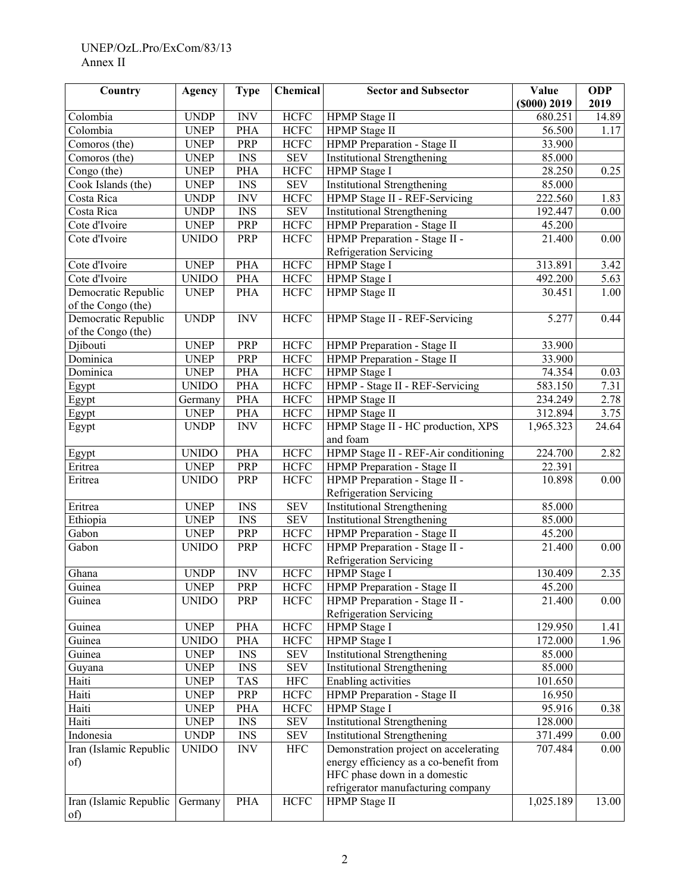### UNEP/OzL.Pro/ExCom/83/13 Annex II

| Country                       | <b>Agency</b> | <b>Type</b>                        | Chemical             | <b>Sector and Subsector</b>                                     | Value            | <b>ODP</b> |
|-------------------------------|---------------|------------------------------------|----------------------|-----------------------------------------------------------------|------------------|------------|
|                               |               |                                    |                      |                                                                 | $($ 000 $)$ 2019 | 2019       |
| Colombia                      | <b>UNDP</b>   | <b>INV</b>                         | <b>HCFC</b>          | HPMP Stage II                                                   | 680.251          | 14.89      |
| Colombia                      | <b>UNEP</b>   | PHA                                | <b>HCFC</b>          | HPMP Stage II                                                   | 56.500           | 1.17       |
| Comoros (the)                 | <b>UNEP</b>   | PRP                                | <b>HCFC</b>          | HPMP Preparation - Stage II                                     | 33.900           |            |
| Comoros (the)                 | <b>UNEP</b>   | $\mathop{\rm INS}\nolimits$        | <b>SEV</b>           | <b>Institutional Strengthening</b>                              | 85.000           |            |
| Congo (the)                   | <b>UNEP</b>   | <b>PHA</b>                         | <b>HCFC</b>          | HPMP Stage I                                                    | 28.250           | 0.25       |
| Cook Islands (the)            | <b>UNEP</b>   | $\ensuremath{\mathit{INS}}\xspace$ | <b>SEV</b>           | <b>Institutional Strengthening</b>                              | 85.000           |            |
| Costa Rica                    | <b>UNDP</b>   | <b>INV</b>                         | <b>HCFC</b>          | HPMP Stage II - REF-Servicing                                   | 222.560          | 1.83       |
| Costa Rica                    | <b>UNDP</b>   | $\mathop{\rm INS}\nolimits$        | <b>SEV</b>           | <b>Institutional Strengthening</b>                              | 192.447          | 0.00       |
| Cote d'Ivoire                 | <b>UNEP</b>   | PRP                                | HCFC                 | HPMP Preparation - Stage II                                     | 45.200           |            |
| Cote d'Ivoire                 | <b>UNIDO</b>  | PRP                                | <b>HCFC</b>          | HPMP Preparation - Stage II -<br><b>Refrigeration Servicing</b> | 21.400           | 0.00       |
| Cote d'Ivoire                 | <b>UNEP</b>   | PHA                                | <b>HCFC</b>          | <b>HPMP</b> Stage I                                             | 313.891          | 3.42       |
| Cote d'Ivoire                 | <b>UNIDO</b>  | PHA                                | <b>HCFC</b>          | HPMP Stage I                                                    | 492.200          | 5.63       |
| Democratic Republic           | <b>UNEP</b>   | <b>PHA</b>                         | $\rm HCFC$           | <b>HPMP</b> Stage II                                            | 30.451           | 1.00       |
| of the Congo (the)            |               |                                    |                      |                                                                 |                  |            |
| Democratic Republic           | <b>UNDP</b>   | <b>INV</b>                         | <b>HCFC</b>          | HPMP Stage II - REF-Servicing                                   | 5.277            | 0.44       |
| of the Congo (the)            |               |                                    |                      |                                                                 |                  |            |
| Djibouti                      | <b>UNEP</b>   | PRP                                | <b>HCFC</b>          | HPMP Preparation - Stage II                                     | 33.900           |            |
| Dominica                      | <b>UNEP</b>   | PRP                                | <b>HCFC</b>          | HPMP Preparation - Stage II                                     | 33.900           |            |
| Dominica                      | <b>UNEP</b>   | <b>PHA</b>                         | <b>HCFC</b>          | HPMP Stage I                                                    | 74.354           | 0.03       |
| Egypt                         | <b>UNIDO</b>  | <b>PHA</b>                         | <b>HCFC</b>          | HPMP - Stage II - REF-Servicing                                 | 583.150          | 7.31       |
| Egypt                         | Germany       | <b>PHA</b>                         | <b>HCFC</b>          | <b>HPMP</b> Stage II                                            | 234.249          | 2.78       |
| Egypt                         | <b>UNEP</b>   | <b>PHA</b>                         | <b>HCFC</b>          | HPMP Stage II                                                   | 312.894          | 3.75       |
| Egypt                         | <b>UNDP</b>   | <b>INV</b>                         | <b>HCFC</b>          | HPMP Stage II - HC production, XPS                              | 1,965.323        | 24.64      |
|                               |               |                                    |                      | and foam                                                        |                  |            |
| Egypt                         | <b>UNIDO</b>  | <b>PHA</b>                         | <b>HCFC</b>          | HPMP Stage II - REF-Air conditioning                            | 224.700          | 2.82       |
| Eritrea                       | <b>UNEP</b>   | PRP                                | <b>HCFC</b>          | <b>HPMP</b> Preparation - Stage II                              | 22.391           |            |
| Eritrea                       | <b>UNIDO</b>  | PRP                                | <b>HCFC</b>          | HPMP Preparation - Stage II -                                   | 10.898           | 0.00       |
|                               |               |                                    |                      | <b>Refrigeration Servicing</b>                                  |                  |            |
| Eritrea                       | <b>UNEP</b>   | $\ensuremath{\mathit{INS}}\xspace$ | <b>SEV</b>           | <b>Institutional Strengthening</b>                              | 85.000           |            |
| Ethiopia                      | <b>UNEP</b>   | $\mathop{\rm INS}\nolimits$        | <b>SEV</b>           | <b>Institutional Strengthening</b>                              | 85.000           |            |
| Gabon                         | <b>UNEP</b>   | PRP                                | <b>HCFC</b>          | HPMP Preparation - Stage II                                     | 45.200           |            |
| Gabon                         | <b>UNIDO</b>  | PRP                                | <b>HCFC</b>          | HPMP Preparation - Stage II -                                   | 21.400           | 0.00       |
|                               |               |                                    |                      | Refrigeration Servicing                                         |                  |            |
| Ghana                         | <b>UNDP</b>   | <b>INV</b>                         | <b>HCFC</b>          | HPMP Stage I                                                    | 130.409          | 2.35       |
| Guinea                        | <b>UNEP</b>   | PRP                                | <b>HCFC</b>          | HPMP Preparation - Stage II                                     | 45.200           |            |
| Guinea                        | <b>UNIDO</b>  | PRP                                | <b>HCFC</b>          | HPMP Preparation - Stage II -                                   | 21.400           | 0.00       |
|                               |               |                                    |                      | <b>Refrigeration Servicing</b>                                  |                  |            |
| Guinea                        | <b>UNEP</b>   | PHA                                | <b>HCFC</b>          | HPMP Stage I                                                    | 129.950          | 1.41       |
| Guinea                        | <b>UNIDO</b>  | PHA                                | <b>HCFC</b>          | HPMP Stage I                                                    | 172.000          | 1.96       |
| Guinea                        | <b>UNEP</b>   | <b>INS</b>                         | $\operatorname{SEV}$ | <b>Institutional Strengthening</b>                              | 85.000           |            |
| Guyana                        | <b>UNEP</b>   | <b>INS</b>                         | <b>SEV</b>           | <b>Institutional Strengthening</b>                              | 85.000           |            |
| Haiti                         | <b>UNEP</b>   | <b>TAS</b>                         | <b>HFC</b>           | Enabling activities                                             | 101.650          |            |
| Haiti                         | <b>UNEP</b>   | PRP                                | <b>HCFC</b>          | HPMP Preparation - Stage II                                     | 16.950           |            |
| Haiti                         | <b>UNEP</b>   | PHA                                | <b>HCFC</b>          | HPMP Stage I                                                    | 95.916           | 0.38       |
| Haiti                         | <b>UNEP</b>   | $\mathop{\rm INS}\nolimits$        | $\operatorname{SEV}$ | <b>Institutional Strengthening</b>                              | 128.000          |            |
| Indonesia                     | <b>UNDP</b>   | <b>INS</b>                         | <b>SEV</b>           | <b>Institutional Strengthening</b>                              | 371.499          | 0.00       |
| Iran (Islamic Republic        | <b>UNIDO</b>  | <b>INV</b>                         | $\rm{HFC}$           | Demonstration project on accelerating                           | 707.484          | 0.00       |
| of)                           |               |                                    |                      | energy efficiency as a co-benefit from                          |                  |            |
|                               |               |                                    |                      | HFC phase down in a domestic                                    |                  |            |
|                               |               |                                    |                      | refrigerator manufacturing company                              |                  |            |
| Iran (Islamic Republic<br>of) | Germany       | <b>PHA</b>                         | $\rm HCFC$           | HPMP Stage II                                                   | 1,025.189        | 13.00      |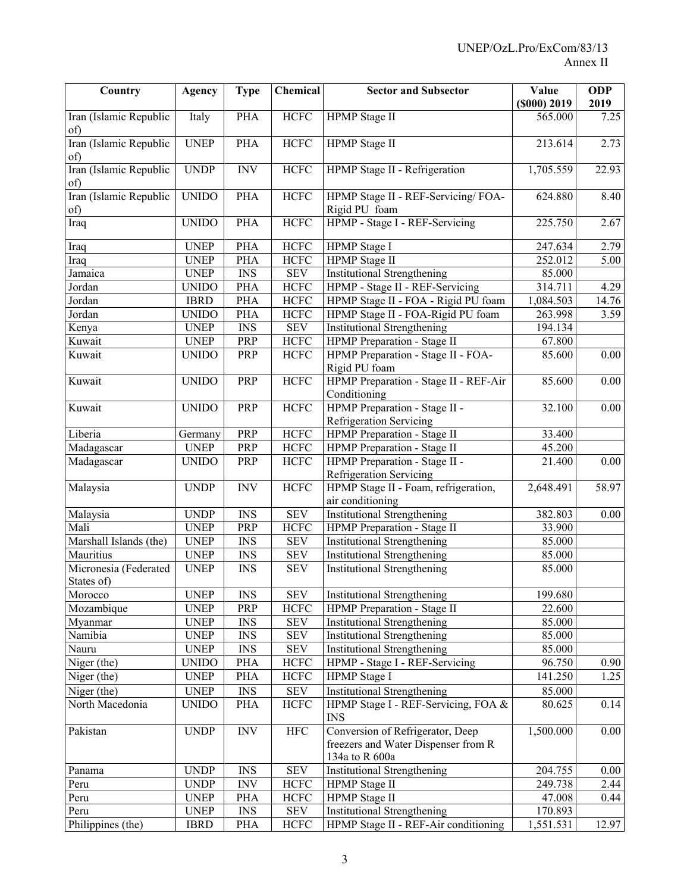| Country                             | <b>Agency</b> | <b>Type</b>                        | Chemical    | <b>Sector and Subsector</b>           | Value            | <b>ODP</b> |
|-------------------------------------|---------------|------------------------------------|-------------|---------------------------------------|------------------|------------|
|                                     |               |                                    |             |                                       | $($ 000 $)$ 2019 | 2019       |
| Iran (Islamic Republic<br>of)       | Italy         | <b>PHA</b>                         | HCFC        | HPMP Stage II                         | 565.000          | 7.25       |
| Iran (Islamic Republic              | <b>UNEP</b>   | PHA                                | <b>HCFC</b> | HPMP Stage II                         | 213.614          | 2.73       |
| of)                                 |               |                                    |             |                                       |                  |            |
| Iran (Islamic Republic              | <b>UNDP</b>   | $\text{INV}$                       | <b>HCFC</b> | HPMP Stage II - Refrigeration         | 1,705.559        | 22.93      |
| of)                                 |               |                                    |             |                                       |                  |            |
| Iran (Islamic Republic              | <b>UNIDO</b>  | <b>PHA</b>                         | <b>HCFC</b> | HPMP Stage II - REF-Servicing/FOA-    | 624.880          | 8.40       |
| of)                                 |               |                                    |             | Rigid PU foam                         |                  |            |
| Iraq                                | <b>UNIDO</b>  | <b>PHA</b>                         | <b>HCFC</b> | HPMP - Stage I - REF-Servicing        | 225.750          | 2.67       |
| Iraq                                | <b>UNEP</b>   | <b>PHA</b>                         | <b>HCFC</b> | HPMP Stage I                          | 247.634          | 2.79       |
| Iraq                                | <b>UNEP</b>   | <b>PHA</b>                         | <b>HCFC</b> | HPMP Stage II                         | 252.012          | 5.00       |
| Jamaica                             | <b>UNEP</b>   | $\mathop{\rm INS}\nolimits$        | <b>SEV</b>  | <b>Institutional Strengthening</b>    | 85.000           |            |
| Jordan                              | <b>UNIDO</b>  | <b>PHA</b>                         | <b>HCFC</b> | HPMP - Stage II - REF-Servicing       | 314.711          | 4.29       |
| Jordan                              | <b>IBRD</b>   | <b>PHA</b>                         | <b>HCFC</b> | HPMP Stage II - FOA - Rigid PU foam   | 1,084.503        | 14.76      |
| Jordan                              | <b>UNIDO</b>  | <b>PHA</b>                         | <b>HCFC</b> | HPMP Stage II - FOA-Rigid PU foam     | 263.998          | 3.59       |
| Kenya                               | <b>UNEP</b>   | $\mathop{\rm INS}\nolimits$        | <b>SEV</b>  | <b>Institutional Strengthening</b>    | 194.134          |            |
| Kuwait                              | <b>UNEP</b>   | PRP                                | <b>HCFC</b> | HPMP Preparation - Stage II           | 67.800           |            |
| Kuwait                              | <b>UNIDO</b>  | PRP                                | <b>HCFC</b> | HPMP Preparation - Stage II - FOA-    | 85.600           | 0.00       |
|                                     |               |                                    |             | Rigid PU foam                         |                  |            |
| Kuwait                              | <b>UNIDO</b>  | PRP                                | <b>HCFC</b> | HPMP Preparation - Stage II - REF-Air | 85.600           | 0.00       |
|                                     |               |                                    |             | Conditioning                          |                  |            |
| Kuwait                              | <b>UNIDO</b>  | PRP                                | <b>HCFC</b> | HPMP Preparation - Stage II -         | 32.100           | $0.00\,$   |
|                                     |               |                                    |             | <b>Refrigeration Servicing</b>        |                  |            |
| Liberia                             | Germany       | PRP                                | <b>HCFC</b> | HPMP Preparation - Stage II           | 33.400           |            |
| Madagascar                          | <b>UNEP</b>   | PRP                                | <b>HCFC</b> | HPMP Preparation - Stage II           | 45.200           |            |
| Madagascar                          | <b>UNIDO</b>  | PRP                                | <b>HCFC</b> | HPMP Preparation - Stage II -         | 21.400           | 0.00       |
|                                     |               |                                    |             | Refrigeration Servicing               |                  |            |
| Malaysia                            | <b>UNDP</b>   | <b>INV</b>                         | <b>HCFC</b> | HPMP Stage II - Foam, refrigeration,  | 2,648.491        | 58.97      |
|                                     |               |                                    |             | air conditioning                      |                  |            |
| Malaysia                            | <b>UNDP</b>   | <b>INS</b>                         | <b>SEV</b>  | <b>Institutional Strengthening</b>    | 382.803          | 0.00       |
| Mali                                | <b>UNEP</b>   | PRP                                | <b>HCFC</b> | HPMP Preparation - Stage II           | 33.900           |            |
| Marshall Islands (the)              | <b>UNEP</b>   | <b>INS</b>                         | <b>SEV</b>  | <b>Institutional Strengthening</b>    | 85.000           |            |
| Mauritius                           | <b>UNEP</b>   | <b>INS</b>                         | <b>SEV</b>  | <b>Institutional Strengthening</b>    | 85.000           |            |
| Micronesia (Federated<br>States of) | <b>UNEP</b>   | <b>INS</b>                         | <b>SEV</b>  | <b>Institutional Strengthening</b>    | 85.000           |            |
| Morocco                             | <b>UNEP</b>   | <b>INS</b>                         | <b>SEV</b>  | <b>Institutional Strengthening</b>    | 199.680          |            |
| Mozambique                          | <b>UNEP</b>   | PRP                                | <b>HCFC</b> | HPMP Preparation - Stage II           | 22.600           |            |
| Myanmar                             | <b>UNEP</b>   | $\ensuremath{\mathit{INS}}\xspace$ | <b>SEV</b>  | <b>Institutional Strengthening</b>    | 85.000           |            |
| Namibia                             | <b>UNEP</b>   | $\mathop{\rm INS}\nolimits$        | <b>SEV</b>  | <b>Institutional Strengthening</b>    | 85.000           |            |
| Nauru                               | <b>UNEP</b>   | $\overline{\text{INS}}$            | <b>SEV</b>  | <b>Institutional Strengthening</b>    | 85.000           |            |
| Niger (the)                         | <b>UNIDO</b>  | <b>PHA</b>                         | <b>HCFC</b> | HPMP - Stage I - REF-Servicing        | 96.750           | 0.90       |
| Niger (the)                         | <b>UNEP</b>   | <b>PHA</b>                         | <b>HCFC</b> | HPMP Stage I                          | 141.250          | 1.25       |
| Niger (the)                         | <b>UNEP</b>   | $\mathop{\rm INS}\nolimits$        | <b>SEV</b>  | <b>Institutional Strengthening</b>    | 85.000           |            |
| North Macedonia                     | <b>UNIDO</b>  | PHA                                | HCFC        | HPMP Stage I - REF-Servicing, FOA &   | 80.625           | 0.14       |
|                                     |               |                                    |             | <b>INS</b>                            |                  |            |
| Pakistan                            | <b>UNDP</b>   | $\ensuremath{\text{INV}}$          | $\rm{HFC}$  | Conversion of Refrigerator, Deep      | 1,500.000        | 0.00       |
|                                     |               |                                    |             | freezers and Water Dispenser from R   |                  |            |
|                                     |               |                                    |             | 134a to R 600a                        |                  |            |
| Panama                              | <b>UNDP</b>   | <b>INS</b>                         | <b>SEV</b>  | Institutional Strengthening           | 204.755          | 0.00       |
| Peru                                | <b>UNDP</b>   | $\ensuremath{\text{INV}}$          | <b>HCFC</b> | HPMP Stage II                         | 249.738          | 2.44       |
| Peru                                | <b>UNEP</b>   | <b>PHA</b>                         | <b>HCFC</b> | HPMP Stage II                         | 47.008           | 0.44       |
| Peru                                | <b>UNEP</b>   | $\ensuremath{\text{INS}}$          | <b>SEV</b>  | <b>Institutional Strengthening</b>    | 170.893          |            |
| Philippines (the)                   | <b>IBRD</b>   | PHA                                | <b>HCFC</b> | HPMP Stage II - REF-Air conditioning  | 1,551.531        | 12.97      |